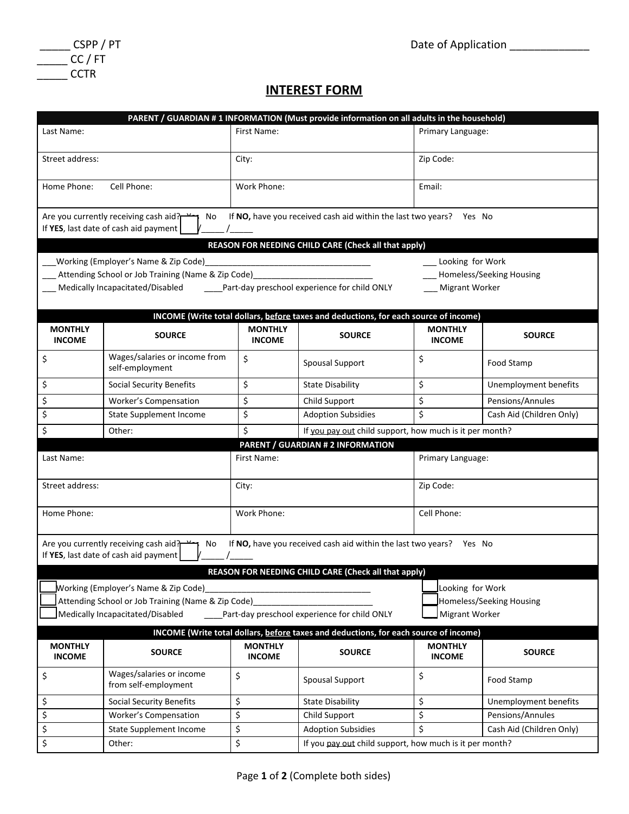

| CSPP / PT |
|-----------|
| CC / FT   |
| CCTR      |

## **INTEREST FORM**

|                                 |                                                                                      |                                                  | PARENT / GUARDIAN #1 INFORMATION (Must provide information on all adults in the household) |                                                         |                          |  |  |  |  |
|---------------------------------|--------------------------------------------------------------------------------------|--------------------------------------------------|--------------------------------------------------------------------------------------------|---------------------------------------------------------|--------------------------|--|--|--|--|
| Last Name:                      |                                                                                      | First Name:                                      |                                                                                            |                                                         | Primary Language:        |  |  |  |  |
| Street address:                 |                                                                                      | City:                                            | Zip Code:                                                                                  |                                                         |                          |  |  |  |  |
| Home Phone:                     | Cell Phone:                                                                          | Email:                                           |                                                                                            |                                                         |                          |  |  |  |  |
|                                 | Are you currently receiving cash aid?<br>No<br>If YES, last date of cash aid payment |                                                  | If NO, have you received cash aid within the last two years? Yes No                        |                                                         |                          |  |  |  |  |
|                                 |                                                                                      |                                                  | REASON FOR NEEDING CHILD CARE (Check all that apply)                                       |                                                         |                          |  |  |  |  |
|                                 | Working (Employer's Name & Zip Code)                                                 |                                                  |                                                                                            | Looking for Work                                        |                          |  |  |  |  |
|                                 | Attending School or Job Training (Name & Zip Code)                                   |                                                  |                                                                                            |                                                         | Homeless/Seeking Housing |  |  |  |  |
|                                 |                                                                                      |                                                  |                                                                                            |                                                         | Migrant Worker           |  |  |  |  |
|                                 |                                                                                      |                                                  | INCOME (Write total dollars, before taxes and deductions, for each source of income)       |                                                         |                          |  |  |  |  |
| <b>MONTHLY</b><br><b>INCOME</b> | <b>SOURCE</b>                                                                        | <b>MONTHLY</b><br><b>INCOME</b>                  | <b>SOURCE</b>                                                                              | <b>MONTHLY</b><br><b>INCOME</b>                         | <b>SOURCE</b>            |  |  |  |  |
| \$                              | Wages/salaries or income from<br>self-employment                                     | \$                                               | <b>Spousal Support</b>                                                                     | \$                                                      | Food Stamp               |  |  |  |  |
| \$                              | <b>Social Security Benefits</b>                                                      | \$                                               | <b>State Disability</b>                                                                    | \$                                                      | Unemployment benefits    |  |  |  |  |
| \$                              | Worker's Compensation                                                                | \$                                               | Child Support                                                                              | \$                                                      | Pensions/Annules         |  |  |  |  |
| \$                              | <b>State Supplement Income</b>                                                       | \$                                               | <b>Adoption Subsidies</b>                                                                  | \$                                                      | Cash Aid (Children Only) |  |  |  |  |
| \$                              | Other:                                                                               | \$                                               |                                                                                            | If you pay out child support, how much is it per month? |                          |  |  |  |  |
|                                 |                                                                                      |                                                  | <b>PARENT / GUARDIAN # 2 INFORMATION</b>                                                   |                                                         |                          |  |  |  |  |
| Last Name:                      |                                                                                      | First Name:                                      |                                                                                            |                                                         | Primary Language:        |  |  |  |  |
| Street address:                 |                                                                                      | City:                                            |                                                                                            | Zip Code:                                               |                          |  |  |  |  |
| Home Phone:                     |                                                                                      | Work Phone:                                      |                                                                                            | Cell Phone:                                             |                          |  |  |  |  |
|                                 | Are you currently receiving cash aid?<br>No<br>If YES, last date of cash aid payment |                                                  | If NO, have you received cash aid within the last two years? Yes No                        |                                                         |                          |  |  |  |  |
|                                 |                                                                                      |                                                  | <b>REASON FOR NEEDING CHILD CARE (Check all that apply)</b>                                |                                                         |                          |  |  |  |  |
|                                 | Working (Employer's Name & Zip Code)                                                 |                                                  |                                                                                            | Looking for Work                                        |                          |  |  |  |  |
|                                 | Attending School or Job Training (Name & Zip Code)                                   |                                                  | Homeless/Seeking Housing                                                                   |                                                         |                          |  |  |  |  |
|                                 | Medically Incapacitated/Disabled<br>Part-day preschool experience for child ONLY     | Migrant Worker                                   |                                                                                            |                                                         |                          |  |  |  |  |
|                                 |                                                                                      |                                                  | INCOME (Write total dollars, before taxes and deductions, for each source of income)       |                                                         |                          |  |  |  |  |
| <b>MONTHLY</b><br><b>INCOME</b> | <b>SOURCE</b>                                                                        | <b>MONTHLY</b><br><b>SOURCE</b><br><b>INCOME</b> |                                                                                            | <b>MONTHLY</b><br><b>INCOME</b>                         | <b>SOURCE</b>            |  |  |  |  |
| \$                              | Wages/salaries or income<br>from self-employment                                     | \$                                               | <b>Spousal Support</b>                                                                     | \$                                                      | Food Stamp               |  |  |  |  |
| \$                              | <b>Social Security Benefits</b>                                                      | \$                                               | <b>State Disability</b>                                                                    | \$                                                      | Unemployment benefits    |  |  |  |  |
| \$                              | <b>Worker's Compensation</b>                                                         | \$                                               | Child Support                                                                              | \$                                                      | Pensions/Annules         |  |  |  |  |
| \$                              | State Supplement Income                                                              | \$                                               | <b>Adoption Subsidies</b>                                                                  | \$                                                      | Cash Aid (Children Only) |  |  |  |  |
| \$                              | Other:                                                                               | \$                                               | If you pay out child support, how much is it per month?                                    |                                                         |                          |  |  |  |  |